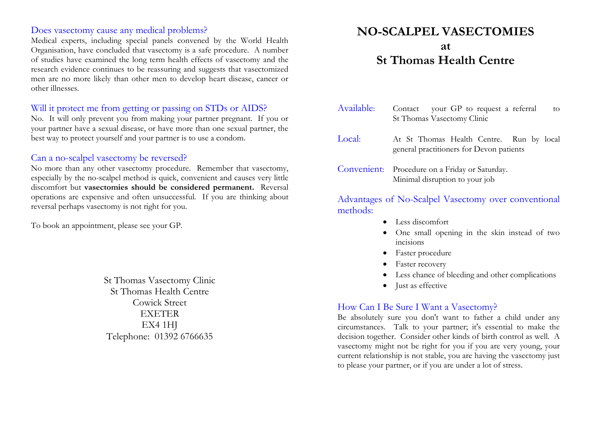#### Does vasectomy cause any medical problems?

Medical experts, including special panels convened by the World Health Organisation, have concluded that vasectomy is a safe procedure. A number of studies have examined the long term health effects of vasectomy and the research evidence continues to be reassuring and suggests that vasectomized men are no more likely than other men to develop heart disease, cancer or other illnesses.

## Will it protect me from getting or passing on STDs or AIDS?

No. It will only prevent you from making your partner pregnant. If you or your partner have a sexual disease, or have more than one sexual partner, the best way to protect yourself and your partner is to use a condom.

## Can a no-scalpel vasectomy be reversed?

No more than any other vasectomy procedure. Remember that vasectomy, especially by the no-scalpel method is quick, convenient and causes very little discomfort but **vasectomies should be considered permanent.** Reversal operations are expensive and often unsuccessful. If you are thinking about reversal perhaps vasectomy is not right for you.

To book an appointment, please see your GP.

St Thomas Vasectomy Clinic St Thomas Health Centre Cowick Street EXETER EX4 1HJ Telephone: 01392 6766635

# **NO-SCALPEL VASECTOMIES at St Thomas Health Centre**

- Available: Contact your GP to request a referral to St Thomas Vasectomy Clinic Local: At St Thomas Health Centre. Run by local general practitioners for Devon patients
- Convenient: Procedure on a Friday or Saturday. Minimal disruption to your job

Advantages of No-Scalpel Vasectomy over conventional methods:

- Less discomfort
- One small opening in the skin instead of two incisions
- Faster procedure
- Faster recovery
- Less chance of bleeding and other complications
- Just as effective

#### How Can I Be Sure I Want a Vasectomy?

Be absolutely sure you don't want to father a child under any circumstances. Talk to your partner; it's essential to make the decision together. Consider other kinds of birth control as well. A vasectomy might not be right for you if you are very young, your current relationship is not stable, you are having the vasectomy just to please your partner, or if you are under a lot of stress.